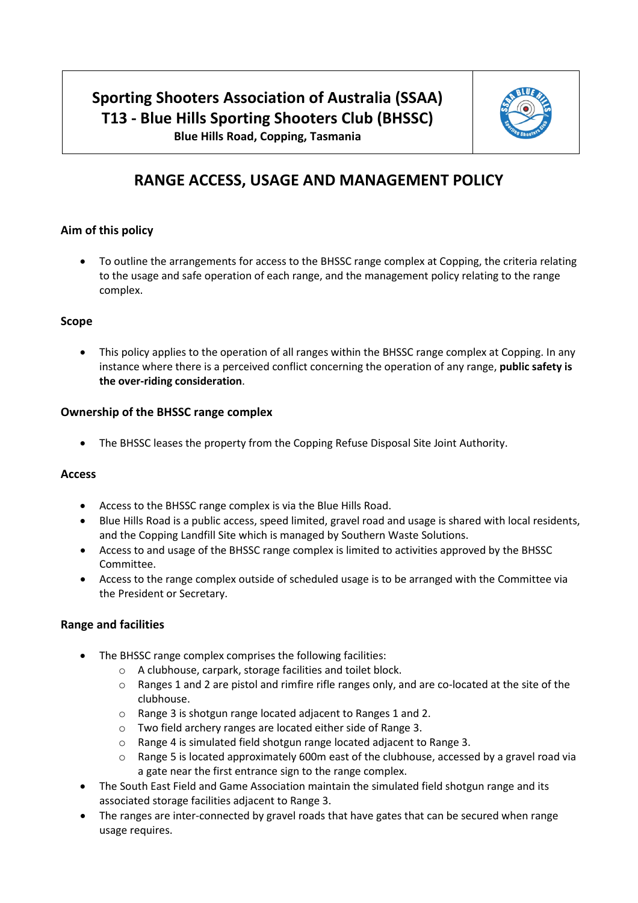# **Sporting Shooters Association of Australia (SSAA) T13 - Blue Hills Sporting Shooters Club (BHSSC)**



**Blue Hills Road, Copping, Tasmania**

## **RANGE ACCESS, USAGE AND MANAGEMENT POLICY**

## **Aim of this policy**

• To outline the arrangements for access to the BHSSC range complex at Copping, the criteria relating to the usage and safe operation of each range, and the management policy relating to the range complex.

#### **Scope**

This policy applies to the operation of all ranges within the BHSSC range complex at Copping. In any instance where there is a perceived conflict concerning the operation of any range, **public safety is the over-riding consideration**.

#### **Ownership of the BHSSC range complex**

• The BHSSC leases the property from the Copping Refuse Disposal Site Joint Authority.

#### **Access**

- Access to the BHSSC range complex is via the Blue Hills Road.
- Blue Hills Road is a public access, speed limited, gravel road and usage is shared with local residents, and the Copping Landfill Site which is managed by Southern Waste Solutions.
- Access to and usage of the BHSSC range complex is limited to activities approved by the BHSSC Committee.
- Access to the range complex outside of scheduled usage is to be arranged with the Committee via the President or Secretary.

## **Range and facilities**

- The BHSSC range complex comprises the following facilities:
	- o A clubhouse, carpark, storage facilities and toilet block.
	- o Ranges 1 and 2 are pistol and rimfire rifle ranges only, and are co-located at the site of the clubhouse.
	- o Range 3 is shotgun range located adjacent to Ranges 1 and 2.
	- o Two field archery ranges are located either side of Range 3.
	- o Range 4 is simulated field shotgun range located adjacent to Range 3.
	- $\circ$  Range 5 is located approximately 600m east of the clubhouse, accessed by a gravel road via a gate near the first entrance sign to the range complex.
- The South East Field and Game Association maintain the simulated field shotgun range and its associated storage facilities adjacent to Range 3.
- The ranges are inter-connected by gravel roads that have gates that can be secured when range usage requires.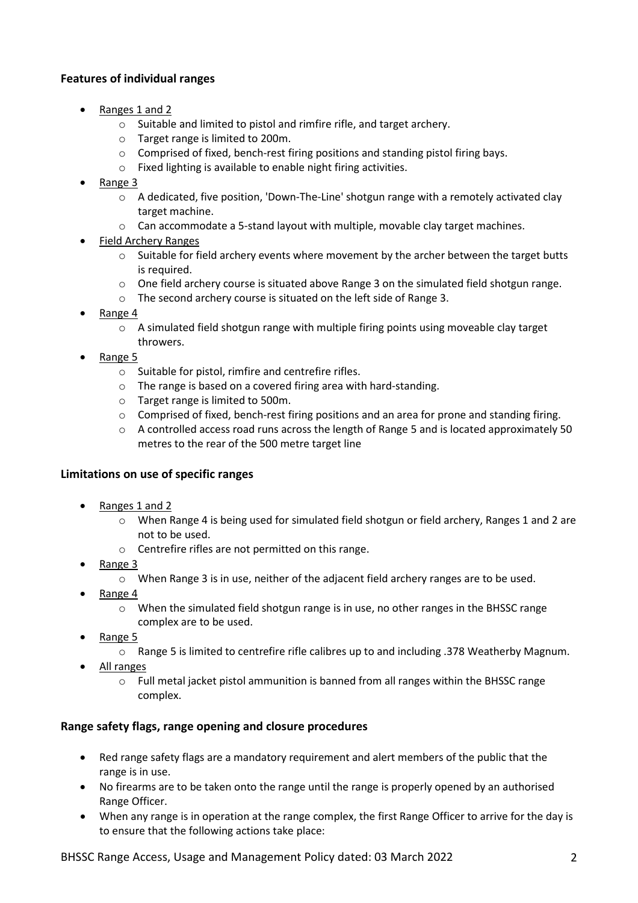## **Features of individual ranges**

- Ranges 1 and 2
	- o Suitable and limited to pistol and rimfire rifle, and target archery.
	- o Target range is limited to 200m.
	- $\circ$  Comprised of fixed, bench-rest firing positions and standing pistol firing bays.
	- o Fixed lighting is available to enable night firing activities.
- Range 3
	- o A dedicated, five position, 'Down-The-Line' shotgun range with a remotely activated clay target machine.
	- $\circ$  Can accommodate a 5-stand layout with multiple, movable clay target machines.
- Field Archery Ranges
	- $\circ$  Suitable for field archery events where movement by the archer between the target butts is required.
	- o One field archery course is situated above Range 3 on the simulated field shotgun range.
	- o The second archery course is situated on the left side of Range 3.
- Range 4
	- $\circ$  A simulated field shotgun range with multiple firing points using moveable clay target throwers.
- Range 5
	- o Suitable for pistol, rimfire and centrefire rifles.
	- o The range is based on a covered firing area with hard-standing.
	- o Target range is limited to 500m.
	- $\circ$  Comprised of fixed, bench-rest firing positions and an area for prone and standing firing.
	- $\circ$  A controlled access road runs across the length of Range 5 and is located approximately 50 metres to the rear of the 500 metre target line

#### **Limitations on use of specific ranges**

- Ranges 1 and 2
	- o When Range 4 is being used for simulated field shotgun or field archery, Ranges 1 and 2 are not to be used.
	- o Centrefire rifles are not permitted on this range.
- Range 3
	- o When Range 3 is in use, neither of the adjacent field archery ranges are to be used.
- Range 4
	- o When the simulated field shotgun range is in use, no other ranges in the BHSSC range complex are to be used.
- Range 5
	- o Range 5 is limited to centrefire rifle calibres up to and including .378 Weatherby Magnum.
- All ranges
	- o Full metal jacket pistol ammunition is banned from all ranges within the BHSSC range complex.

#### **Range safety flags, range opening and closure procedures**

- Red range safety flags are a mandatory requirement and alert members of the public that the range is in use.
- No firearms are to be taken onto the range until the range is properly opened by an authorised Range Officer.
- When any range is in operation at the range complex, the first Range Officer to arrive for the day is to ensure that the following actions take place: